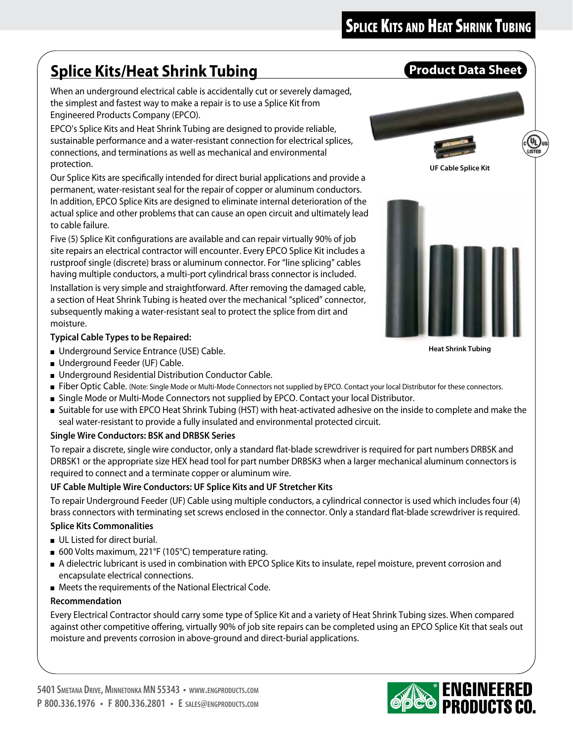# **Splice Kits/Heat Shrink Tubing**  Product Data Sheet

When an underground electrical cable is accidentally cut or severely damaged, the simplest and fastest way to make a repair is to use a Splice Kit from Engineered Products Company (EPCO).

EPCO's Splice Kits and Heat Shrink Tubing are designed to provide reliable, sustainable performance and a water-resistant connection for electrical splices, connections, and terminations as well as mechanical and environmental protection.

Our Splice Kits are specifically intended for direct burial applications and provide a permanent, water-resistant seal for the repair of copper or aluminum conductors. In addition, EPCO Splice Kits are designed to eliminate internal deterioration of the actual splice and other problems that can cause an open circuit and ultimately lead to cable failure.

Five (5) Splice Kit configurations are available and can repair virtually 90% of job site repairs an electrical contractor will encounter. Every EPCO Splice Kit includes a rustproof single (discrete) brass or aluminum connector. For "line splicing" cables having multiple conductors, a multi-port cylindrical brass connector is included. Installation is very simple and straightforward. After removing the damaged cable, a section of Heat Shrink Tubing is heated over the mechanical "spliced" connector, subsequently making a water-resistant seal to protect the splice from dirt and moisture.

## **Typical Cable Types to be Repaired:**

- Underground Service Entrance (USE) Cable.
- Underground Feeder (UF) Cable.
- Underground Residential Distribution Conductor Cable.
- Fiber Optic Cable. (Note: Single Mode or Multi-Mode Connectors not supplied by EPCO. Contact your local Distributor for these connectors.
- Single Mode or Multi-Mode Connectors not supplied by EPCO. Contact your local Distributor.
- Suitable for use with EPCO Heat Shrink Tubing (HST) with heat-activated adhesive on the inside to complete and make the seal water-resistant to provide a fully insulated and environmental protected circuit.

## **Single Wire Conductors: BSK and DRBSK Series**

To repair a discrete, single wire conductor, only a standard flat-blade screwdriver is required for part numbers DRBSK and DRBSK1 or the appropriate size HEX head tool for part number DRBSK3 when a larger mechanical aluminum connectors is required to connect and a terminate copper or aluminum wire.

## **UF Cable Multiple Wire Conductors: UF Splice Kits and UF Stretcher Kits**

To repair Underground Feeder (UF) Cable using multiple conductors, a cylindrical connector is used which includes four (4) brass connectors with terminating set screws enclosed in the connector. Only a standard flat-blade screwdriver is required.

#### **Splice Kits Commonalities**

- UL Listed for direct burial.
- 600 Volts maximum, 221°F (105°C) temperature rating.
- A dielectric lubricant is used in combination with EPCO Splice Kits to insulate, repel moisture, prevent corrosion and encapsulate electrical connections.
- Meets the requirements of the National Electrical Code.

#### **Recommendation**

Every Electrical Contractor should carry some type of Splice Kit and a variety of Heat Shrink Tubing sizes. When compared against other competitive offering, virtually 90% of job site repairs can be completed using an EPCO Splice Kit that seals out moisture and prevents corrosion in above-ground and direct-burial applications.



**Heat Shrink Tubing**

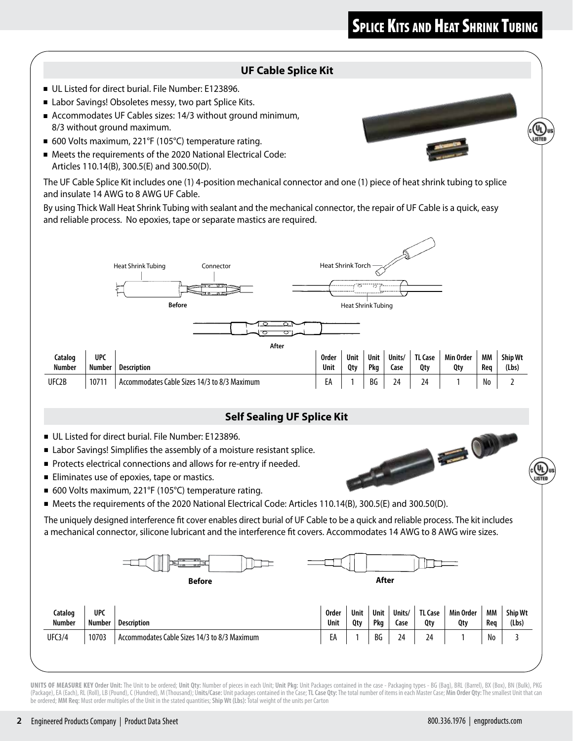## **SPLICE KITS AND HEAT SHRINK TUBING**

#### **UF Cable Splice Kit**

- UL Listed for direct burial. File Number: E123896.
- Labor Savings! Obsoletes messy, two part Splice Kits.
- Accommodates UF Cables sizes: 14/3 without ground minimum, 8/3 without ground maximum.
- 600 Volts maximum, 221°F (105°C) temperature rating.
- Meets the requirements of the 2020 National Electrical Code: Articles 110.14(B), 300.5(E) and 300.50(D).

The UF Cable Splice Kit includes one (1) 4-position mechanical connector and one (1) piece of heat shrink tubing to splice and insulate 14 AWG to 8 AWG UF Cable.

By using Thick Wall Heat Shrink Tubing with sealant and the mechanical connector, the repair of UF Cable is a quick, easy and reliable process. No epoxies, tape or separate mastics are required.



#### **Self Sealing UF Splice Kit**

- UL Listed for direct burial. File Number: E123896.
- Labor Savings! Simplifies the assembly of a moisture resistant splice.
- Protects electrical connections and allows for re-entry if needed.
- Eliminates use of epoxies, tape or mastics.
- 600 Volts maximum, 221°F (105°C) temperature rating.
- Meets the requirements of the 2020 National Electrical Code: Articles 110.14(B), 300.5(E) and 300.50(D).

The uniquely designed interference fit cover enables direct burial of UF Cable to be a quick and reliable process. The kit includes a mechanical connector, silicone lubricant and the interference fit covers. Accommodates 14 AWG to 8 AWG wire sizes.



UNITS OF MEASURE KEY Order Unit: The Unit to be ordered; Unit Qty: Number of pieces in each Unit; Unit Pkg: Unit Packages contained in the case - Packaging types - BG (Bag), BRL (Barrel), BX (Box), BN (Bulk), PKG (Package), EA (Each), RL (Roll), LB (Pound), C (Hundred), M (Thousand); Units/Case: Unit packages contained in the Case; TL Case Qty: The total number of items in each Master Case; Min Order Qty: The smallest Unit that can be ordered; **MM Req:** Must order multiples of the Unit in the stated quantities; **Ship Wt (Lbs):** Total weight of the units per Carton



CALL CALL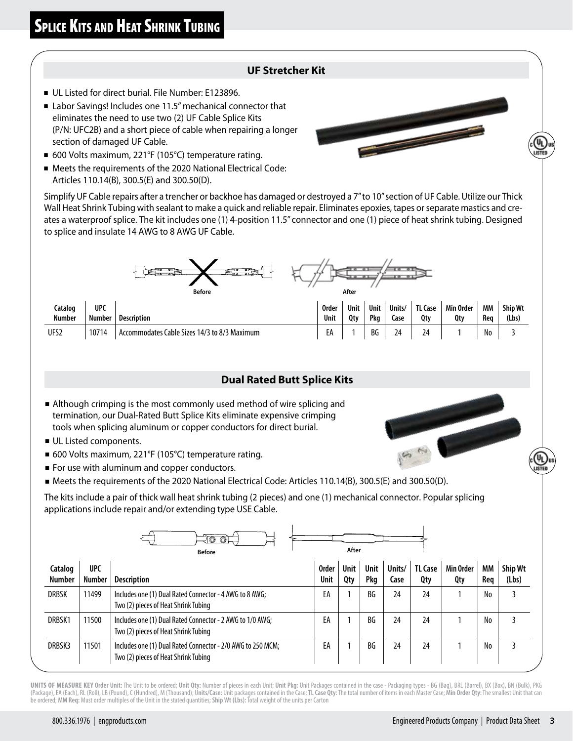#### **UF Stretcher Kit**

- UL Listed for direct burial. File Number: E123896.
- Labor Savings! Includes one 11.5" mechanical connector that eliminates the need to use two (2) UF Cable Splice Kits (P/N: UFC2B) and a short piece of cable when repairing a longer section of damaged UF Cable.
- 600 Volts maximum, 221°F (105°C) temperature rating.
- Meets the requirements of the 2020 National Electrical Code: Articles 110.14(B), 300.5(E) and 300.50(D).

Simplify UF Cable repairs after a trencher or backhoe has damaged or destroyed a 7" to 10" section of UF Cable. Utilize our Thick Wall Heat Shrink Tubing with sealant to make a quick and reliable repair. Eliminates epoxies, tapes or separate mastics and creates a waterproof splice. The kit includes one (1) 4-position 11.5" connector and one (1) piece of heat shrink tubing. Designed to splice and insulate 14 AWG to 8 AWG UF Cable.



| Catalog<br><b>Number</b> | <b>UPC</b><br><b>Number</b> | Description                                       | Order<br>Unit | Unit<br>0tv | Unit<br>Pka | Units/<br>Case | <b>TL Case</b><br>0tv | Min Order<br>Qty | МM<br>Rea | <b>Ship Wt</b><br>(Lbs) |
|--------------------------|-----------------------------|---------------------------------------------------|---------------|-------------|-------------|----------------|-----------------------|------------------|-----------|-------------------------|
| UFS2                     | 10714                       | Cable Sizes 14/3 to 8/3 Maximum<br>Accommodates ' | £Α            |             | BG          | <u>.</u>       | -                     |                  | No        |                         |

#### **Dual Rated Butt Splice Kits**

- Although crimping is the most commonly used method of wire splicing and termination, our Dual-Rated Butt Splice Kits eliminate expensive crimping tools when splicing aluminum or copper conductors for direct burial.
- UL Listed components.
- 600 Volts maximum, 221°F (105°C) temperature rating.
- For use with aluminum and copper conductors.
- Meets the requirements of the 2020 National Electrical Code: Articles 110.14(B), 300.5(E) and 300.50(D).

The kits include a pair of thick wall heat shrink tubing (2 pieces) and one (1) mechanical connector. Popular splicing applications include repair and/or extending type USE Cable.

|                          |                             | $\circledcirc$<br>$\circledcirc$ $\vdash$<br><b>Before</b>                                          |                             | After              |             |                |                       |                  |           |                         |
|--------------------------|-----------------------------|-----------------------------------------------------------------------------------------------------|-----------------------------|--------------------|-------------|----------------|-----------------------|------------------|-----------|-------------------------|
| Catalog<br><b>Number</b> | <b>UPC</b><br><b>Number</b> | <b>Description</b>                                                                                  | <b>Order</b><br><b>Unit</b> | <b>Unit</b><br>Qty | Unit<br>Pkg | Units/<br>Case | <b>TL Case</b><br>Qty | Min Order<br>Qty | МM<br>Req | <b>Ship Wt</b><br>(Lbs) |
| <b>DRBSK</b>             | 11499                       | Includes one (1) Dual Rated Connector - 4 AWG to 8 AWG;<br>Two (2) pieces of Heat Shrink Tubing     | EA                          |                    | BG          | 24             | 24                    |                  | No        | 3                       |
| DRBSK1                   | 11500                       | Includes one (1) Dual Rated Connector - 2 AWG to 1/0 AWG;<br>Two (2) pieces of Heat Shrink Tubing   | EA                          |                    | BG          | 24             | 24                    |                  | No        |                         |
| DRBSK3                   | 11501                       | Includes one (1) Dual Rated Connector - 2/0 AWG to 250 MCM;<br>Two (2) pieces of Heat Shrink Tubing | EA                          |                    | BG          | 24             | 24                    |                  | No        | 3                       |

UNITS OF MEASURE KEY Order Unit: The Unit to be ordered; Unit Qty: Number of pieces in each Unit; Unit Pkg: Unit Packages contained in the case - Packaging types - BG (Bag), BRL (Barrel), BX (Box), BN (Bulk), PKG (Package), EA (Each), RL (Roll), LB (Pound), C (Hundred), M (Thousand); Units/Case: Unit packages contained in the Case; TL Case Qty: The total number of items in each Master Case; Min Order Qty: The smallest Unit that can be ordered; **MM Req:** Must order multiples of the Unit in the stated quantities; **Ship Wt (Lbs):** Total weight of the units per Carton



**Contract Contract Contract Contract Contract Contract Contract Contract Contract Contract Contract Contract Contract Contract Contract Contract Contract Contract Contract Contract Contract Contract Contract Contract Contr**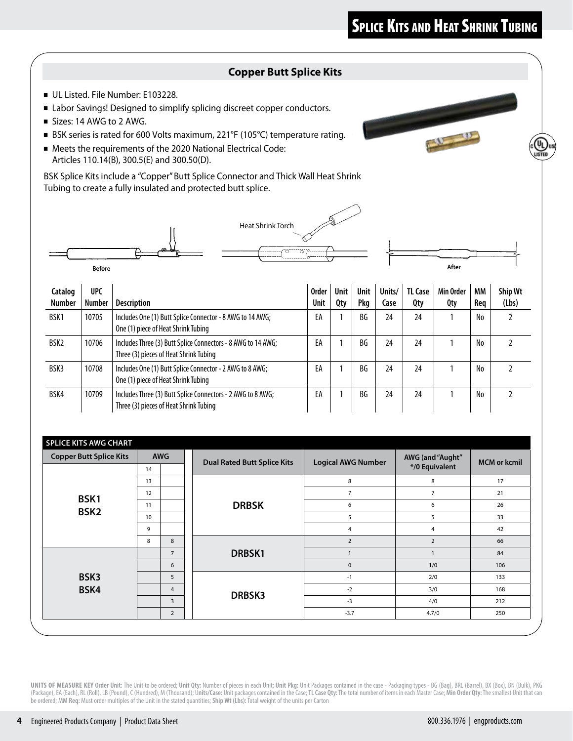## **SPLICE KITS AND HEAT SHRINK TUBING**

#### **Copper Butt Splice Kits**

- UL Listed. File Number: E103228.
- Labor Savings! Designed to simplify splicing discreet copper conductors.
- Sizes: 14 AWG to 2 AWG.
- BSK series is rated for 600 Volts maximum, 221°F (105°C) temperature rating.
- Meets the requirements of the 2020 National Electrical Code: Articles 110.14(B), 300.5(E) and 300.50(D).

BSK Splice Kits include a "Copper" Butt Splice Connector and Thick Wall Heat Shrink Tubing to create a fully insulated and protected butt splice.





| <b>Copper Butt Splice Kits</b> |    | <b>AWG</b><br><b>Dual Rated Butt Splice Kits</b> |               | <b>Logical AWG Number</b> | AWG (and "Aught" | <b>MCM or kcmil</b> |  |
|--------------------------------|----|--------------------------------------------------|---------------|---------------------------|------------------|---------------------|--|
|                                | 14 |                                                  |               |                           | */0 Equivalent   |                     |  |
|                                | 13 |                                                  |               | 8                         | 8                | 17                  |  |
| BSK1                           | 12 |                                                  |               | $\overline{7}$            | $\overline{7}$   | 21                  |  |
|                                | 11 |                                                  | <b>DRBSK</b>  | 6                         | 6                | 26                  |  |
| BSK <sub>2</sub>               | 10 |                                                  |               | 5                         | 5                | 33                  |  |
|                                | 9  |                                                  |               | $\overline{4}$            | $\overline{a}$   | 42                  |  |
|                                | 8  | 8                                                |               | $\overline{2}$            | $\overline{2}$   | 66                  |  |
|                                |    | $\overline{7}$                                   | DRBSK1        |                           |                  | 84                  |  |
|                                |    | 6                                                |               | $\mathsf 0$               | 1/0              | 106                 |  |
| BSK3                           |    | 5                                                |               | $-1$                      | 2/0              | 133                 |  |
| BSK4                           |    | $\overline{4}$                                   |               | $-2$                      | 3/0              | 168                 |  |
|                                |    | $\overline{3}$                                   | <b>DRBSK3</b> | $-3$                      | 4/0              | 212                 |  |
|                                |    | $\overline{2}$                                   |               | $-3.7$                    | 4.7/0            | 250                 |  |

UNITS OF MEASURE KEY Order Unit: The Unit to be ordered; Unit Qty: Number of pieces in each Unit; Unit Pkg: Unit Packages contained in the case - Packaging types - BG (Bag), BRL (Barrel), BX (Box), BN (Bulk), PKG (Package), EA (Each), RL (Roll), LB (Pound), C (Hundred), M (Thousand); Units/Case: Unit packages contained in the Case; TL Case Qty: The total number of items in each Master Case; Min Order Qty: The smallest Unit that can be ordered; **MM Req:** Must order multiples of the Unit in the stated quantities; **Ship Wt (Lbs):** Total weight of the units per Carton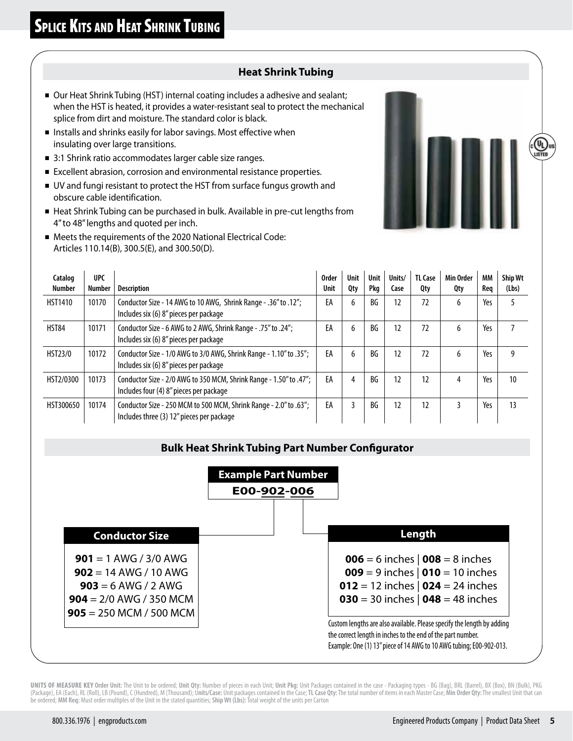#### **Heat Shrink Tubing**

- Our Heat Shrink Tubing (HST) internal coating includes a adhesive and sealant; when the HST is heated, it provides a water-resistant seal to protect the mechanical splice from dirt and moisture. The standard color is black.
- Installs and shrinks easily for labor savings. Most effective when insulating over large transitions.
- 3:1 Shrink ratio accommodates larger cable size ranges.
- Excellent abrasion, corrosion and environmental resistance properties.
- UV and fungi resistant to protect the HST from surface fungus growth and obscure cable identification.
- Heat Shrink Tubing can be purchased in bulk. Available in pre-cut lengths from 4" to 48" lengths and quoted per inch.
- Meets the requirements of the 2020 National Electrical Code: Articles 110.14(B), 300.5(E), and 300.50(D).

| Catalog<br><b>Number</b> | <b>UPC</b><br><b>Number</b> | <b>Description</b>                                                                                             | <b>Order</b><br><b>Unit</b> | <b>Unit</b><br>Qty | Unit<br>Pkg | Units/<br>Case | <b>TL Case</b><br>Qty | Min Order<br>Qty | MМ<br>Req | <b>Ship Wt</b><br>(Lbs) |
|--------------------------|-----------------------------|----------------------------------------------------------------------------------------------------------------|-----------------------------|--------------------|-------------|----------------|-----------------------|------------------|-----------|-------------------------|
| <b>HST1410</b>           | 10170                       | Conductor Size - 14 AWG to 10 AWG, Shrink Range - .36" to .12";<br>Includes six (6) 8" pieces per package      | EA                          | 6                  | BG          | 12             | 72                    | 6                | Yes       | 5                       |
| <b>HST84</b>             | 10171                       | Conductor Size - 6 AWG to 2 AWG, Shrink Range - .75" to .24";<br>Includes six (6) 8" pieces per package        | EA                          | 6                  | BG          | 12             | 72                    | 6                | Yes       |                         |
| <b>HST23/0</b>           | 10172                       | Conductor Size - 1/0 AWG to 3/0 AWG, Shrink Range - 1.10" to .35";<br>Includes six (6) 8" pieces per package   | EA                          | 6                  | BG          | 12             | 72                    | 6                | Yes       | 9                       |
| HST2/0300                | 10173                       | Conductor Size - 2/0 AWG to 350 MCM, Shrink Range - 1.50" to .47";<br>Includes four (4) 8" pieces per package  | EA                          | 4                  | ВG          | 12             | 12                    | 4                | Yes       | 10                      |
| HST300650                | 10174                       | Conductor Size - 250 MCM to 500 MCM, Shrink Range - 2.0" to .63";<br>Includes three (3) 12" pieces per package | EA                          | 3                  | BG          | 12             | 12                    | 3                | Yes       | 13                      |

#### **Bulk Heat Shrink Tubing Part Number Configurator**



UNITS OF MEASURE KEY Order Unit: The Unit to be ordered; Unit Qty: Number of pieces in each Unit; Unit Pkg: Unit Packages contained in the case - Packaging types - BG (Bag), BRL (Barrel), BX (Box), BN (Bulk), PKG (Package), EA (Each), RL (Roll), LB (Pound), C (Hundred), M (Thousand); Units/Case: Unit packages contained in the Case; TL Case Qty: The total number of items in each Master Case; Min Order Qty: The smallest Unit that can be ordered; **MM Req:** Must order multiples of the Unit in the stated quantities; **Ship Wt (Lbs):** Total weight of the units per Carton